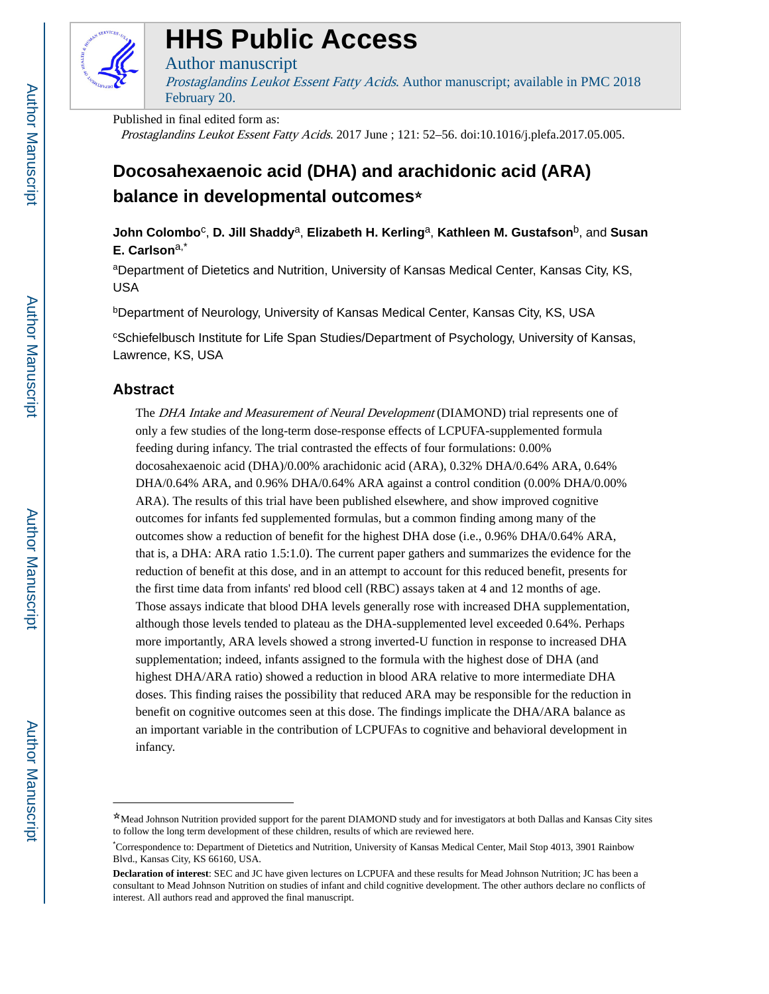

# **HHS Public Access**

## Author manuscript

Prostaglandins Leukot Essent Fatty Acids. Author manuscript; available in PMC 2018 February 20.

Published in final edited form as:

Prostaglandins Leukot Essent Fatty Acids. 2017 June ; 121: 52–56. doi:10.1016/j.plefa.2017.05.005.

## **Docosahexaenoic acid (DHA) and arachidonic acid (ARA) balance in developmental outcomes**☆

**John Colombo**<sup>c</sup> , **D. Jill Shaddy**a, **Elizabeth H. Kerling**a, **Kathleen M. Gustafson**b, and **Susan E. Carlson**a,\*

aDepartment of Dietetics and Nutrition, University of Kansas Medical Center, Kansas City, KS, USA

bDepartment of Neurology, University of Kansas Medical Center, Kansas City, KS, USA

<sup>c</sup>Schiefelbusch Institute for Life Span Studies/Department of Psychology, University of Kansas, Lawrence, KS, USA

## **Abstract**

The *DHA Intake and Measurement of Neural Development* (DIAMOND) trial represents one of only a few studies of the long-term dose-response effects of LCPUFA-supplemented formula feeding during infancy. The trial contrasted the effects of four formulations: 0.00% docosahexaenoic acid (DHA)/0.00% arachidonic acid (ARA), 0.32% DHA/0.64% ARA, 0.64% DHA/0.64% ARA, and 0.96% DHA/0.64% ARA against a control condition (0.00% DHA/0.00% ARA). The results of this trial have been published elsewhere, and show improved cognitive outcomes for infants fed supplemented formulas, but a common finding among many of the outcomes show a reduction of benefit for the highest DHA dose (i.e., 0.96% DHA/0.64% ARA, that is, a DHA: ARA ratio 1.5:1.0). The current paper gathers and summarizes the evidence for the reduction of benefit at this dose, and in an attempt to account for this reduced benefit, presents for the first time data from infants' red blood cell (RBC) assays taken at 4 and 12 months of age. Those assays indicate that blood DHA levels generally rose with increased DHA supplementation, although those levels tended to plateau as the DHA-supplemented level exceeded 0.64%. Perhaps more importantly, ARA levels showed a strong inverted-U function in response to increased DHA supplementation; indeed, infants assigned to the formula with the highest dose of DHA (and highest DHA/ARA ratio) showed a reduction in blood ARA relative to more intermediate DHA doses. This finding raises the possibility that reduced ARA may be responsible for the reduction in benefit on cognitive outcomes seen at this dose. The findings implicate the DHA/ARA balance as an important variable in the contribution of LCPUFAs to cognitive and behavioral development in infancy.

<sup>☆</sup>Mead Johnson Nutrition provided support for the parent DIAMOND study and for investigators at both Dallas and Kansas City sites to follow the long term development of these children, results of which are reviewed here.

<sup>\*</sup>Correspondence to: Department of Dietetics and Nutrition, University of Kansas Medical Center, Mail Stop 4013, 3901 Rainbow Blvd., Kansas City, KS 66160, USA.

**Declaration of interest**: SEC and JC have given lectures on LCPUFA and these results for Mead Johnson Nutrition; JC has been a consultant to Mead Johnson Nutrition on studies of infant and child cognitive development. The other authors declare no conflicts of interest. All authors read and approved the final manuscript.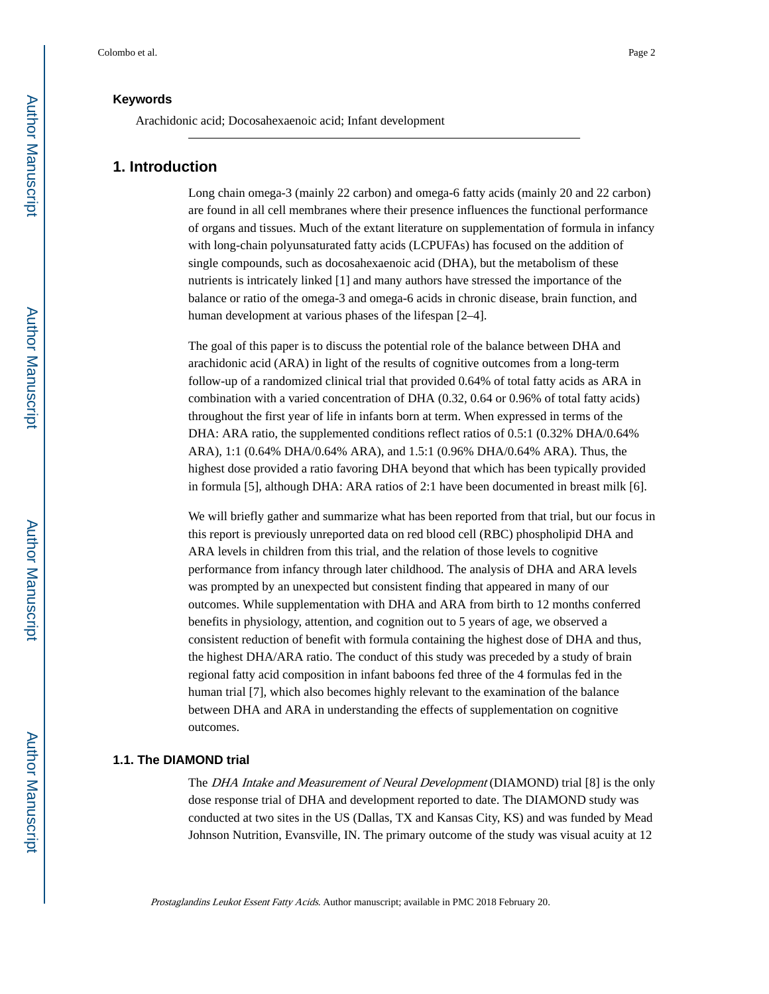Arachidonic acid; Docosahexaenoic acid; Infant development

## **1. Introduction**

Long chain omega-3 (mainly 22 carbon) and omega-6 fatty acids (mainly 20 and 22 carbon) are found in all cell membranes where their presence influences the functional performance of organs and tissues. Much of the extant literature on supplementation of formula in infancy with long-chain polyunsaturated fatty acids (LCPUFAs) has focused on the addition of single compounds, such as docosahexaenoic acid (DHA), but the metabolism of these nutrients is intricately linked [1] and many authors have stressed the importance of the balance or ratio of the omega-3 and omega-6 acids in chronic disease, brain function, and human development at various phases of the lifespan [2–4].

The goal of this paper is to discuss the potential role of the balance between DHA and arachidonic acid (ARA) in light of the results of cognitive outcomes from a long-term follow-up of a randomized clinical trial that provided 0.64% of total fatty acids as ARA in combination with a varied concentration of DHA (0.32, 0.64 or 0.96% of total fatty acids) throughout the first year of life in infants born at term. When expressed in terms of the DHA: ARA ratio, the supplemented conditions reflect ratios of 0.5:1 (0.32% DHA/0.64% ARA), 1:1 (0.64% DHA/0.64% ARA), and 1.5:1 (0.96% DHA/0.64% ARA). Thus, the highest dose provided a ratio favoring DHA beyond that which has been typically provided in formula [5], although DHA: ARA ratios of 2:1 have been documented in breast milk [6].

We will briefly gather and summarize what has been reported from that trial, but our focus in this report is previously unreported data on red blood cell (RBC) phospholipid DHA and ARA levels in children from this trial, and the relation of those levels to cognitive performance from infancy through later childhood. The analysis of DHA and ARA levels was prompted by an unexpected but consistent finding that appeared in many of our outcomes. While supplementation with DHA and ARA from birth to 12 months conferred benefits in physiology, attention, and cognition out to 5 years of age, we observed a consistent reduction of benefit with formula containing the highest dose of DHA and thus, the highest DHA/ARA ratio. The conduct of this study was preceded by a study of brain regional fatty acid composition in infant baboons fed three of the 4 formulas fed in the human trial [7], which also becomes highly relevant to the examination of the balance between DHA and ARA in understanding the effects of supplementation on cognitive outcomes.

#### **1.1. The DIAMOND trial**

The DHA Intake and Measurement of Neural Development (DIAMOND) trial [8] is the only dose response trial of DHA and development reported to date. The DIAMOND study was conducted at two sites in the US (Dallas, TX and Kansas City, KS) and was funded by Mead Johnson Nutrition, Evansville, IN. The primary outcome of the study was visual acuity at 12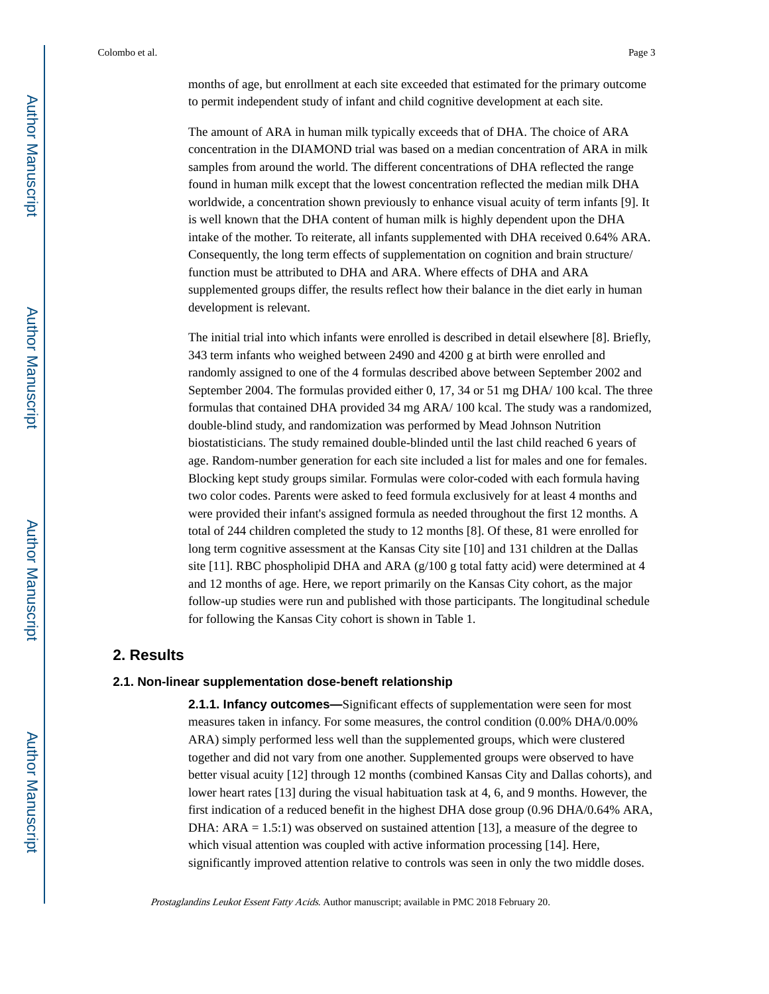months of age, but enrollment at each site exceeded that estimated for the primary outcome to permit independent study of infant and child cognitive development at each site.

The amount of ARA in human milk typically exceeds that of DHA. The choice of ARA concentration in the DIAMOND trial was based on a median concentration of ARA in milk samples from around the world. The different concentrations of DHA reflected the range found in human milk except that the lowest concentration reflected the median milk DHA worldwide, a concentration shown previously to enhance visual acuity of term infants [9]. It is well known that the DHA content of human milk is highly dependent upon the DHA intake of the mother. To reiterate, all infants supplemented with DHA received 0.64% ARA. Consequently, the long term effects of supplementation on cognition and brain structure/ function must be attributed to DHA and ARA. Where effects of DHA and ARA supplemented groups differ, the results reflect how their balance in the diet early in human development is relevant.

The initial trial into which infants were enrolled is described in detail elsewhere [8]. Briefly, 343 term infants who weighed between 2490 and 4200 g at birth were enrolled and randomly assigned to one of the 4 formulas described above between September 2002 and September 2004. The formulas provided either 0, 17, 34 or 51 mg DHA/ 100 kcal. The three formulas that contained DHA provided 34 mg ARA/ 100 kcal. The study was a randomized, double-blind study, and randomization was performed by Mead Johnson Nutrition biostatisticians. The study remained double-blinded until the last child reached 6 years of age. Random-number generation for each site included a list for males and one for females. Blocking kept study groups similar. Formulas were color-coded with each formula having two color codes. Parents were asked to feed formula exclusively for at least 4 months and were provided their infant's assigned formula as needed throughout the first 12 months. A total of 244 children completed the study to 12 months [8]. Of these, 81 were enrolled for long term cognitive assessment at the Kansas City site [10] and 131 children at the Dallas site [11]. RBC phospholipid DHA and ARA  $(g/100 g)$  total fatty acid) were determined at 4 and 12 months of age. Here, we report primarily on the Kansas City cohort, as the major follow-up studies were run and published with those participants. The longitudinal schedule for following the Kansas City cohort is shown in Table 1.

## **2. Results**

#### **2.1. Non-linear supplementation dose-beneft relationship**

**2.1.1. Infancy outcomes—**Significant effects of supplementation were seen for most measures taken in infancy. For some measures, the control condition (0.00% DHA/0.00% ARA) simply performed less well than the supplemented groups, which were clustered together and did not vary from one another. Supplemented groups were observed to have better visual acuity [12] through 12 months (combined Kansas City and Dallas cohorts), and lower heart rates [13] during the visual habituation task at 4, 6, and 9 months. However, the first indication of a reduced benefit in the highest DHA dose group (0.96 DHA/0.64% ARA, DHA:  $ARA = 1.5:1$ ) was observed on sustained attention [13], a measure of the degree to which visual attention was coupled with active information processing [14]. Here, significantly improved attention relative to controls was seen in only the two middle doses.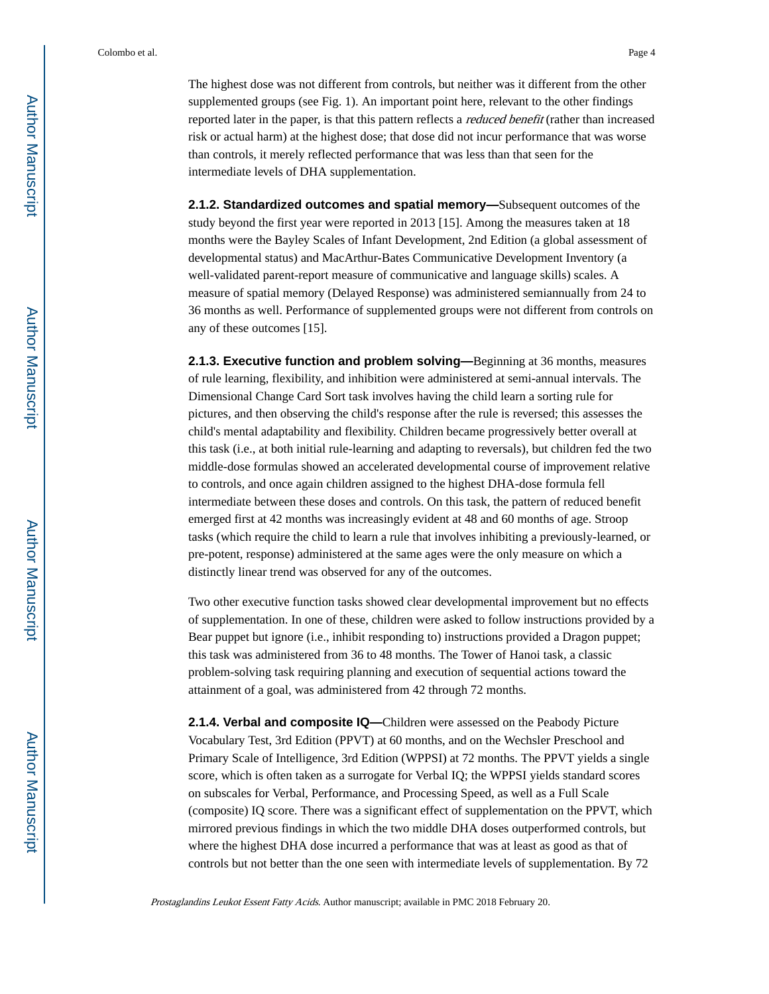The highest dose was not different from controls, but neither was it different from the other supplemented groups (see Fig. 1). An important point here, relevant to the other findings reported later in the paper, is that this pattern reflects a reduced benefit (rather than increased risk or actual harm) at the highest dose; that dose did not incur performance that was worse than controls, it merely reflected performance that was less than that seen for the intermediate levels of DHA supplementation.

**2.1.2. Standardized outcomes and spatial memory—**Subsequent outcomes of the study beyond the first year were reported in 2013 [15]. Among the measures taken at 18 months were the Bayley Scales of Infant Development, 2nd Edition (a global assessment of developmental status) and MacArthur-Bates Communicative Development Inventory (a well-validated parent-report measure of communicative and language skills) scales. A measure of spatial memory (Delayed Response) was administered semiannually from 24 to 36 months as well. Performance of supplemented groups were not different from controls on any of these outcomes [15].

**2.1.3. Executive function and problem solving—**Beginning at 36 months, measures of rule learning, flexibility, and inhibition were administered at semi-annual intervals. The Dimensional Change Card Sort task involves having the child learn a sorting rule for pictures, and then observing the child's response after the rule is reversed; this assesses the child's mental adaptability and flexibility. Children became progressively better overall at this task (i.e., at both initial rule-learning and adapting to reversals), but children fed the two middle-dose formulas showed an accelerated developmental course of improvement relative to controls, and once again children assigned to the highest DHA-dose formula fell intermediate between these doses and controls. On this task, the pattern of reduced benefit emerged first at 42 months was increasingly evident at 48 and 60 months of age. Stroop tasks (which require the child to learn a rule that involves inhibiting a previously-learned, or pre-potent, response) administered at the same ages were the only measure on which a distinctly linear trend was observed for any of the outcomes.

Two other executive function tasks showed clear developmental improvement but no effects of supplementation. In one of these, children were asked to follow instructions provided by a Bear puppet but ignore (i.e., inhibit responding to) instructions provided a Dragon puppet; this task was administered from 36 to 48 months. The Tower of Hanoi task, a classic problem-solving task requiring planning and execution of sequential actions toward the attainment of a goal, was administered from 42 through 72 months.

**2.1.4. Verbal and composite IQ—**Children were assessed on the Peabody Picture Vocabulary Test, 3rd Edition (PPVT) at 60 months, and on the Wechsler Preschool and Primary Scale of Intelligence, 3rd Edition (WPPSI) at 72 months. The PPVT yields a single score, which is often taken as a surrogate for Verbal IQ; the WPPSI yields standard scores on subscales for Verbal, Performance, and Processing Speed, as well as a Full Scale (composite) IQ score. There was a significant effect of supplementation on the PPVT, which mirrored previous findings in which the two middle DHA doses outperformed controls, but where the highest DHA dose incurred a performance that was at least as good as that of controls but not better than the one seen with intermediate levels of supplementation. By 72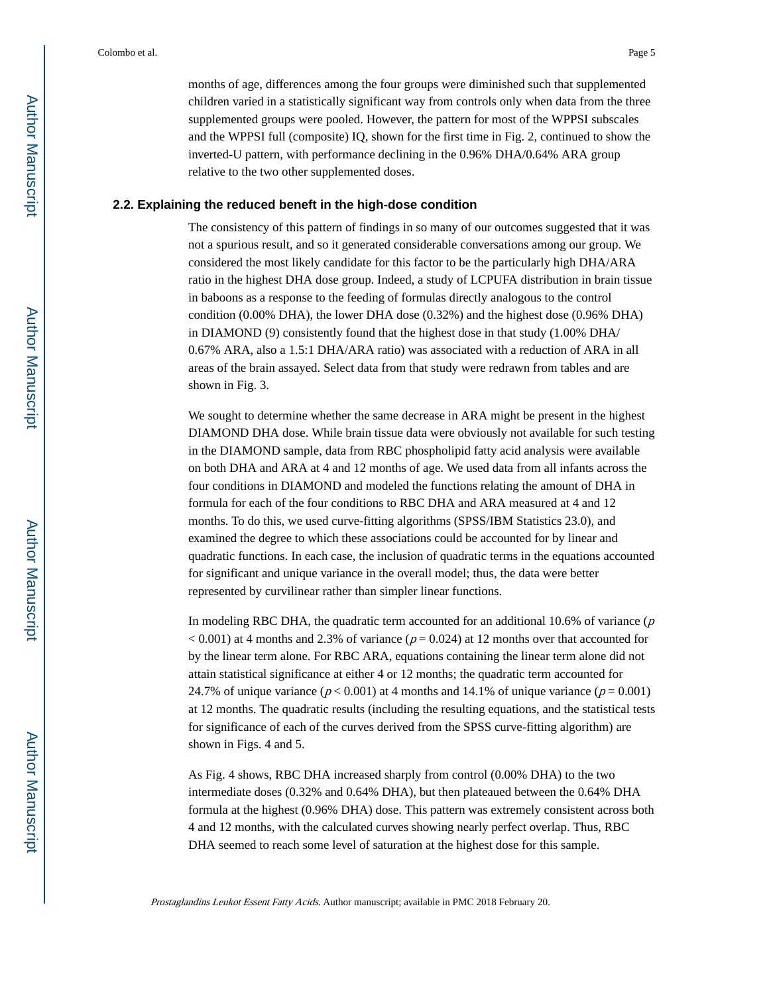months of age, differences among the four groups were diminished such that supplemented children varied in a statistically significant way from controls only when data from the three supplemented groups were pooled. However, the pattern for most of the WPPSI subscales and the WPPSI full (composite) IQ, shown for the first time in Fig. 2, continued to show the inverted-U pattern, with performance declining in the 0.96% DHA/0.64% ARA group relative to the two other supplemented doses.

#### **2.2. Explaining the reduced beneft in the high-dose condition**

The consistency of this pattern of findings in so many of our outcomes suggested that it was not a spurious result, and so it generated considerable conversations among our group. We considered the most likely candidate for this factor to be the particularly high DHA/ARA ratio in the highest DHA dose group. Indeed, a study of LCPUFA distribution in brain tissue in baboons as a response to the feeding of formulas directly analogous to the control condition (0.00% DHA), the lower DHA dose (0.32%) and the highest dose (0.96% DHA) in DIAMOND (9) consistently found that the highest dose in that study (1.00% DHA/ 0.67% ARA, also a 1.5:1 DHA/ARA ratio) was associated with a reduction of ARA in all areas of the brain assayed. Select data from that study were redrawn from tables and are shown in Fig. 3.

We sought to determine whether the same decrease in ARA might be present in the highest DIAMOND DHA dose. While brain tissue data were obviously not available for such testing in the DIAMOND sample, data from RBC phospholipid fatty acid analysis were available on both DHA and ARA at 4 and 12 months of age. We used data from all infants across the four conditions in DIAMOND and modeled the functions relating the amount of DHA in formula for each of the four conditions to RBC DHA and ARA measured at 4 and 12 months. To do this, we used curve-fitting algorithms (SPSS/IBM Statistics 23.0), and examined the degree to which these associations could be accounted for by linear and quadratic functions. In each case, the inclusion of quadratic terms in the equations accounted for significant and unique variance in the overall model; thus, the data were better represented by curvilinear rather than simpler linear functions.

In modeling RBC DHA, the quadratic term accounted for an additional 10.6% of variance  $(p)$  $< 0.001$ ) at 4 months and 2.3% of variance ( $p = 0.024$ ) at 12 months over that accounted for by the linear term alone. For RBC ARA, equations containing the linear term alone did not attain statistical significance at either 4 or 12 months; the quadratic term accounted for 24.7% of unique variance ( $p < 0.001$ ) at 4 months and 14.1% of unique variance ( $p = 0.001$ ) at 12 months. The quadratic results (including the resulting equations, and the statistical tests for significance of each of the curves derived from the SPSS curve-fitting algorithm) are shown in Figs. 4 and 5.

As Fig. 4 shows, RBC DHA increased sharply from control (0.00% DHA) to the two intermediate doses (0.32% and 0.64% DHA), but then plateaued between the 0.64% DHA formula at the highest (0.96% DHA) dose. This pattern was extremely consistent across both 4 and 12 months, with the calculated curves showing nearly perfect overlap. Thus, RBC DHA seemed to reach some level of saturation at the highest dose for this sample.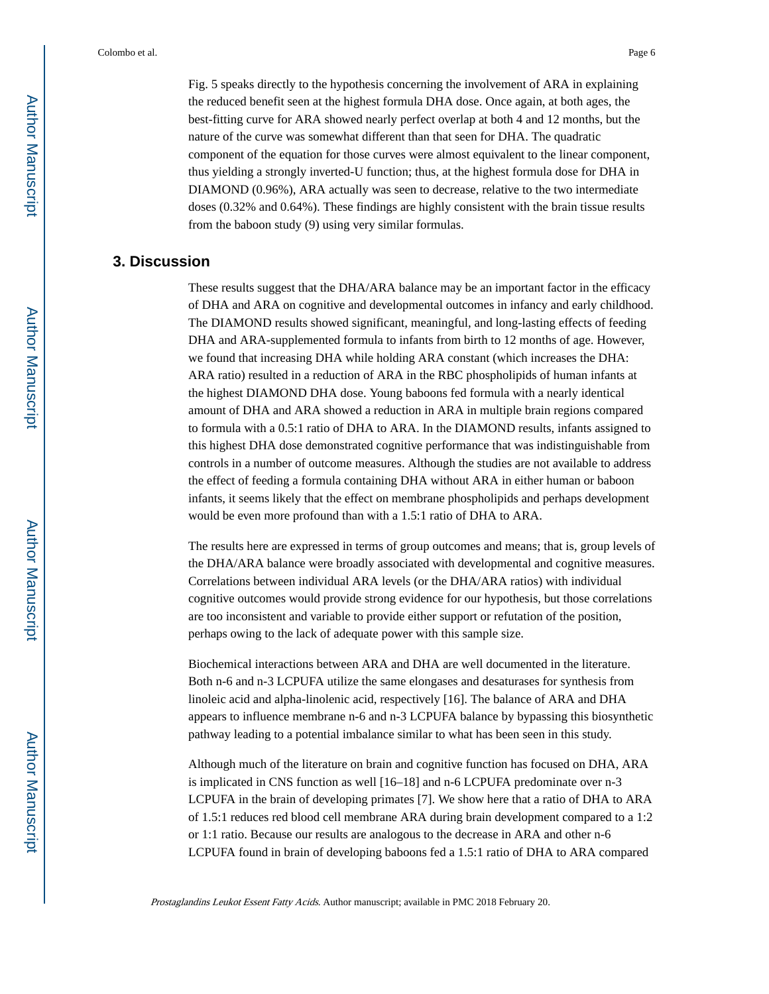Fig. 5 speaks directly to the hypothesis concerning the involvement of ARA in explaining the reduced benefit seen at the highest formula DHA dose. Once again, at both ages, the best-fitting curve for ARA showed nearly perfect overlap at both 4 and 12 months, but the nature of the curve was somewhat different than that seen for DHA. The quadratic component of the equation for those curves were almost equivalent to the linear component, thus yielding a strongly inverted-U function; thus, at the highest formula dose for DHA in DIAMOND (0.96%), ARA actually was seen to decrease, relative to the two intermediate doses (0.32% and 0.64%). These findings are highly consistent with the brain tissue results from the baboon study (9) using very similar formulas.

## **3. Discussion**

These results suggest that the DHA/ARA balance may be an important factor in the efficacy of DHA and ARA on cognitive and developmental outcomes in infancy and early childhood. The DIAMOND results showed significant, meaningful, and long-lasting effects of feeding DHA and ARA-supplemented formula to infants from birth to 12 months of age. However, we found that increasing DHA while holding ARA constant (which increases the DHA: ARA ratio) resulted in a reduction of ARA in the RBC phospholipids of human infants at the highest DIAMOND DHA dose. Young baboons fed formula with a nearly identical amount of DHA and ARA showed a reduction in ARA in multiple brain regions compared to formula with a 0.5:1 ratio of DHA to ARA. In the DIAMOND results, infants assigned to this highest DHA dose demonstrated cognitive performance that was indistinguishable from controls in a number of outcome measures. Although the studies are not available to address the effect of feeding a formula containing DHA without ARA in either human or baboon infants, it seems likely that the effect on membrane phospholipids and perhaps development would be even more profound than with a 1.5:1 ratio of DHA to ARA.

The results here are expressed in terms of group outcomes and means; that is, group levels of the DHA/ARA balance were broadly associated with developmental and cognitive measures. Correlations between individual ARA levels (or the DHA/ARA ratios) with individual cognitive outcomes would provide strong evidence for our hypothesis, but those correlations are too inconsistent and variable to provide either support or refutation of the position, perhaps owing to the lack of adequate power with this sample size.

Biochemical interactions between ARA and DHA are well documented in the literature. Both n-6 and n-3 LCPUFA utilize the same elongases and desaturases for synthesis from linoleic acid and alpha-linolenic acid, respectively [16]. The balance of ARA and DHA appears to influence membrane n-6 and n-3 LCPUFA balance by bypassing this biosynthetic pathway leading to a potential imbalance similar to what has been seen in this study.

Although much of the literature on brain and cognitive function has focused on DHA, ARA is implicated in CNS function as well [16–18] and n-6 LCPUFA predominate over n-3 LCPUFA in the brain of developing primates [7]. We show here that a ratio of DHA to ARA of 1.5:1 reduces red blood cell membrane ARA during brain development compared to a 1:2 or 1:1 ratio. Because our results are analogous to the decrease in ARA and other n-6 LCPUFA found in brain of developing baboons fed a 1.5:1 ratio of DHA to ARA compared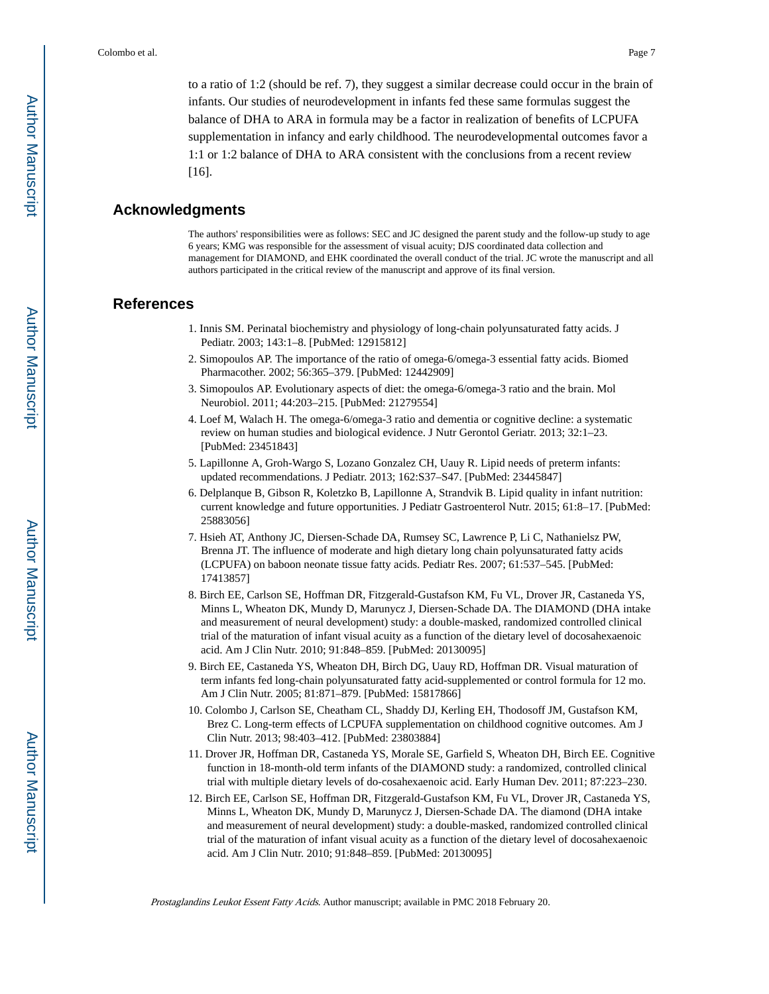to a ratio of 1:2 (should be ref. 7), they suggest a similar decrease could occur in the brain of infants. Our studies of neurodevelopment in infants fed these same formulas suggest the balance of DHA to ARA in formula may be a factor in realization of benefits of LCPUFA supplementation in infancy and early childhood. The neurodevelopmental outcomes favor a 1:1 or 1:2 balance of DHA to ARA consistent with the conclusions from a recent review [16].

## **Acknowledgments**

The authors' responsibilities were as follows: SEC and JC designed the parent study and the follow-up study to age 6 years; KMG was responsible for the assessment of visual acuity; DJS coordinated data collection and management for DIAMOND, and EHK coordinated the overall conduct of the trial. JC wrote the manuscript and all authors participated in the critical review of the manuscript and approve of its final version.

## **References**

- 1. Innis SM. Perinatal biochemistry and physiology of long-chain polyunsaturated fatty acids. J Pediatr. 2003; 143:1–8. [PubMed: 12915812]
- 2. Simopoulos AP. The importance of the ratio of omega-6/omega-3 essential fatty acids. Biomed Pharmacother. 2002; 56:365–379. [PubMed: 12442909]
- 3. Simopoulos AP. Evolutionary aspects of diet: the omega-6/omega-3 ratio and the brain. Mol Neurobiol. 2011; 44:203–215. [PubMed: 21279554]
- 4. Loef M, Walach H. The omega-6/omega-3 ratio and dementia or cognitive decline: a systematic review on human studies and biological evidence. J Nutr Gerontol Geriatr. 2013; 32:1–23. [PubMed: 23451843]
- 5. Lapillonne A, Groh-Wargo S, Lozano Gonzalez CH, Uauy R. Lipid needs of preterm infants: updated recommendations. J Pediatr. 2013; 162:S37–S47. [PubMed: 23445847]
- 6. Delplanque B, Gibson R, Koletzko B, Lapillonne A, Strandvik B. Lipid quality in infant nutrition: current knowledge and future opportunities. J Pediatr Gastroenterol Nutr. 2015; 61:8–17. [PubMed: 25883056]
- 7. Hsieh AT, Anthony JC, Diersen-Schade DA, Rumsey SC, Lawrence P, Li C, Nathanielsz PW, Brenna JT. The influence of moderate and high dietary long chain polyunsaturated fatty acids (LCPUFA) on baboon neonate tissue fatty acids. Pediatr Res. 2007; 61:537–545. [PubMed: 17413857]
- 8. Birch EE, Carlson SE, Hoffman DR, Fitzgerald-Gustafson KM, Fu VL, Drover JR, Castaneda YS, Minns L, Wheaton DK, Mundy D, Marunycz J, Diersen-Schade DA. The DIAMOND (DHA intake and measurement of neural development) study: a double-masked, randomized controlled clinical trial of the maturation of infant visual acuity as a function of the dietary level of docosahexaenoic acid. Am J Clin Nutr. 2010; 91:848–859. [PubMed: 20130095]
- 9. Birch EE, Castaneda YS, Wheaton DH, Birch DG, Uauy RD, Hoffman DR. Visual maturation of term infants fed long-chain polyunsaturated fatty acid-supplemented or control formula for 12 mo. Am J Clin Nutr. 2005; 81:871–879. [PubMed: 15817866]
- 10. Colombo J, Carlson SE, Cheatham CL, Shaddy DJ, Kerling EH, Thodosoff JM, Gustafson KM, Brez C. Long-term effects of LCPUFA supplementation on childhood cognitive outcomes. Am J Clin Nutr. 2013; 98:403–412. [PubMed: 23803884]
- 11. Drover JR, Hoffman DR, Castaneda YS, Morale SE, Garfield S, Wheaton DH, Birch EE. Cognitive function in 18-month-old term infants of the DIAMOND study: a randomized, controlled clinical trial with multiple dietary levels of do-cosahexaenoic acid. Early Human Dev. 2011; 87:223–230.
- 12. Birch EE, Carlson SE, Hoffman DR, Fitzgerald-Gustafson KM, Fu VL, Drover JR, Castaneda YS, Minns L, Wheaton DK, Mundy D, Marunycz J, Diersen-Schade DA. The diamond (DHA intake and measurement of neural development) study: a double-masked, randomized controlled clinical trial of the maturation of infant visual acuity as a function of the dietary level of docosahexaenoic acid. Am J Clin Nutr. 2010; 91:848–859. [PubMed: 20130095]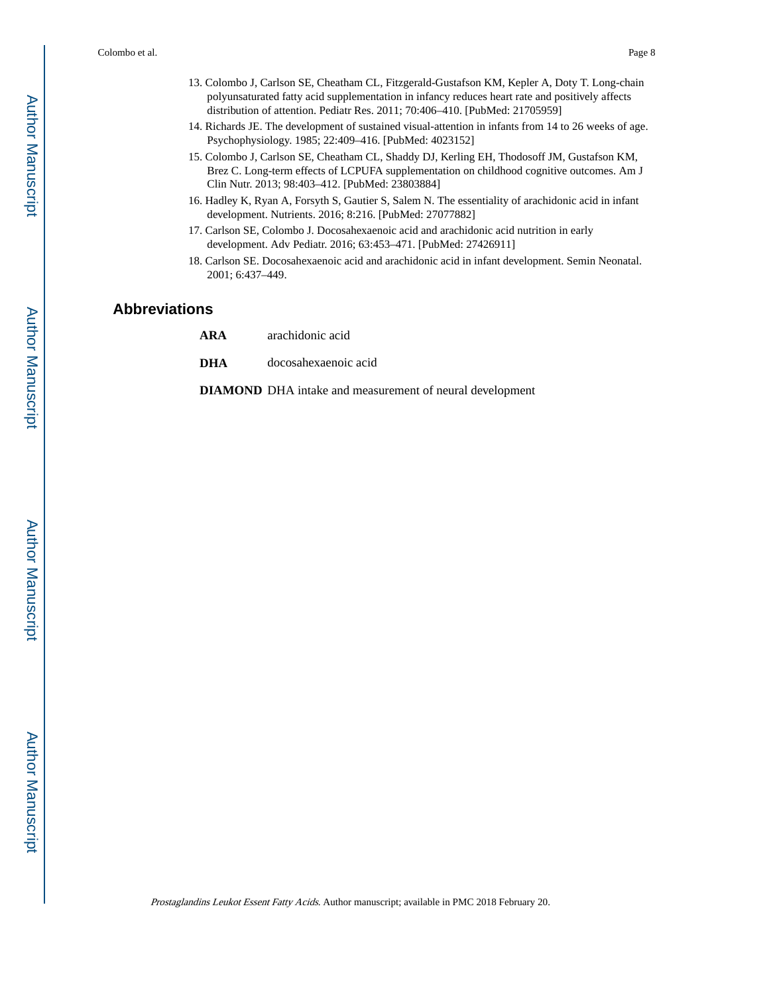- 13. Colombo J, Carlson SE, Cheatham CL, Fitzgerald-Gustafson KM, Kepler A, Doty T. Long-chain polyunsaturated fatty acid supplementation in infancy reduces heart rate and positively affects distribution of attention. Pediatr Res. 2011; 70:406–410. [PubMed: 21705959]
- 14. Richards JE. The development of sustained visual-attention in infants from 14 to 26 weeks of age. Psychophysiology. 1985; 22:409–416. [PubMed: 4023152]
- 15. Colombo J, Carlson SE, Cheatham CL, Shaddy DJ, Kerling EH, Thodosoff JM, Gustafson KM, Brez C. Long-term effects of LCPUFA supplementation on childhood cognitive outcomes. Am J Clin Nutr. 2013; 98:403–412. [PubMed: 23803884]
- 16. Hadley K, Ryan A, Forsyth S, Gautier S, Salem N. The essentiality of arachidonic acid in infant development. Nutrients. 2016; 8:216. [PubMed: 27077882]
- 17. Carlson SE, Colombo J. Docosahexaenoic acid and arachidonic acid nutrition in early development. Adv Pediatr. 2016; 63:453–471. [PubMed: 27426911]
- 18. Carlson SE. Docosahexaenoic acid and arachidonic acid in infant development. Semin Neonatal. 2001; 6:437–449.

### **Abbreviations**

- **ARA** arachidonic acid
- **DHA** docosahexaenoic acid

**DIAMOND** DHA intake and measurement of neural development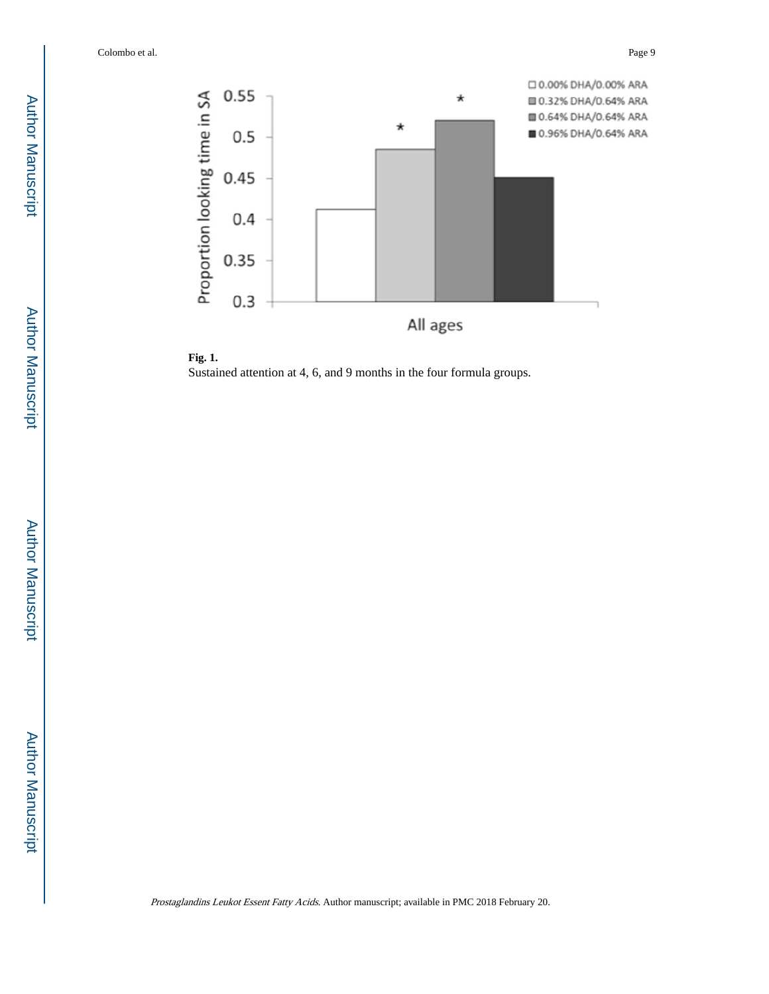

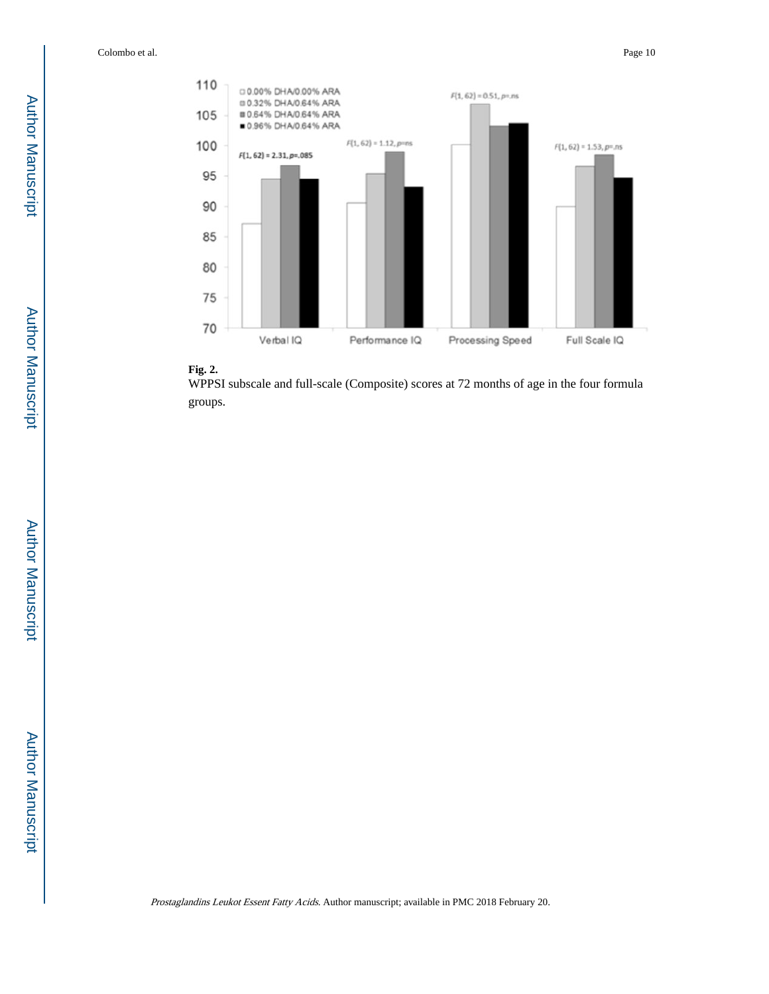

## **Fig. 2.**

WPPSI subscale and full-scale (Composite) scores at 72 months of age in the four formula groups.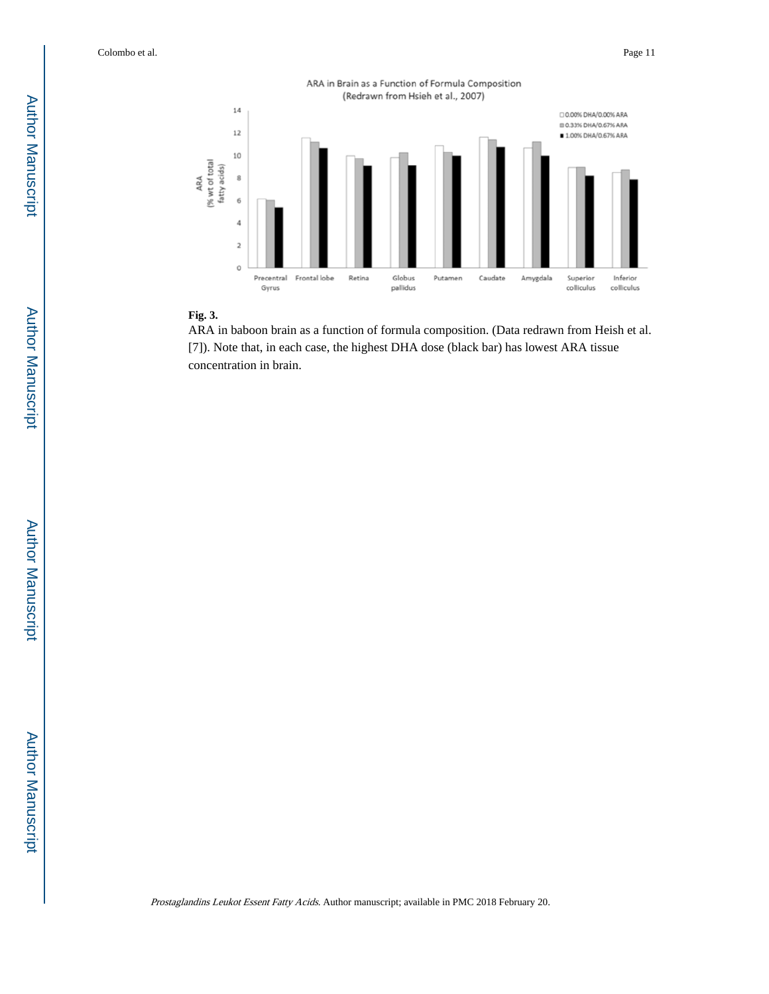

#### **Fig. 3.**

ARA in baboon brain as a function of formula composition. (Data redrawn from Heish et al. [7]). Note that, in each case, the highest DHA dose (black bar) has lowest ARA tissue concentration in brain.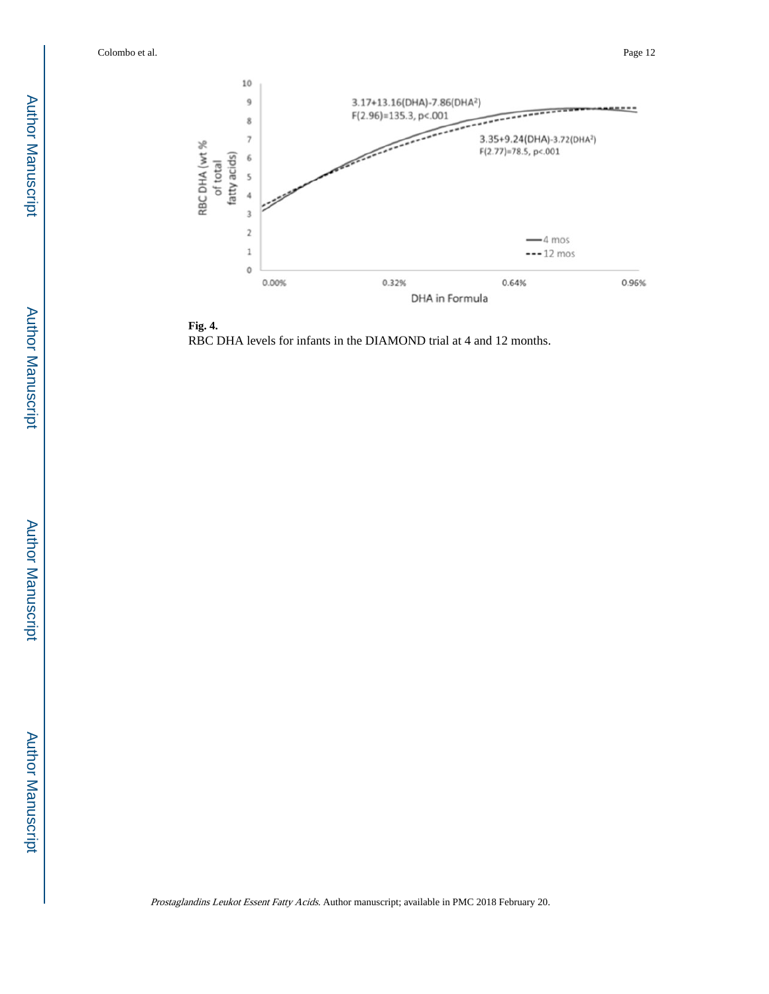

**Fig. 4.**  RBC DHA levels for infants in the DIAMOND trial at 4 and 12 months.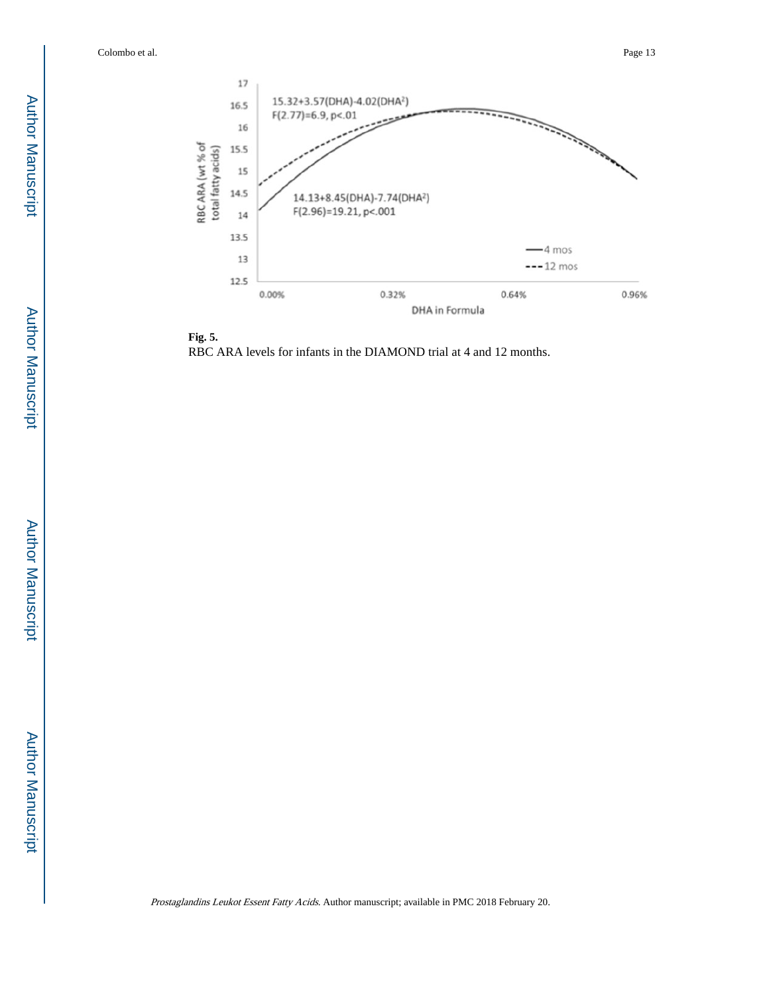